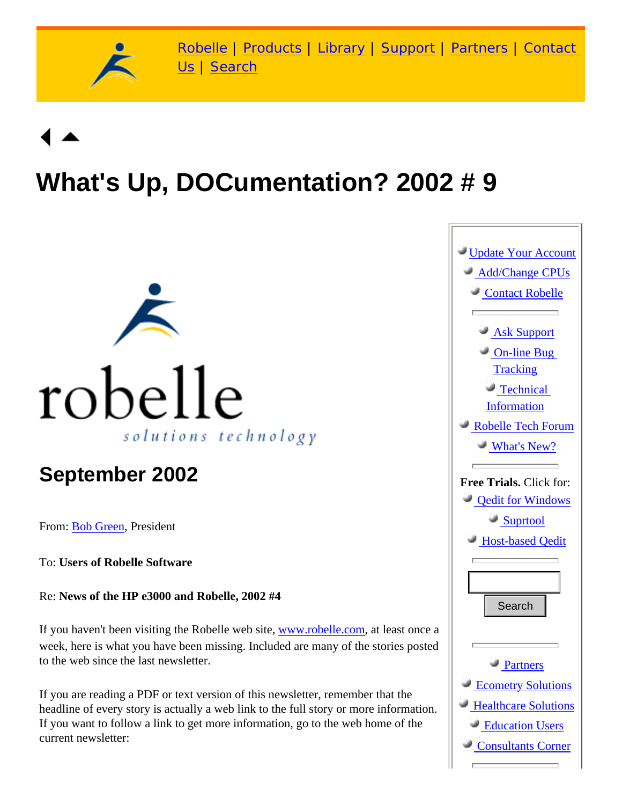

# **What's Up, DOCumentation? 2002 # 9**



## **September 2002**

From: [Bob Green,](http://www.robelle.com/robelle.html#bob) President

To: **Users of Robelle Software**

Re: **News of the HP e3000 and Robelle, 2002 #4**

If you haven't been visiting the Robelle web site, [www.robelle.com](http://www.robelle.com/), at least once a week, here is what you have been missing. Included are many of the stories posted to the web since the last newsletter.

If you are reading a PDF or text version of this newsletter, remember that the headline of every story is actually a web link to the full story or more information. If you want to follow a link to get more information, go to the web home of the current newsletter:

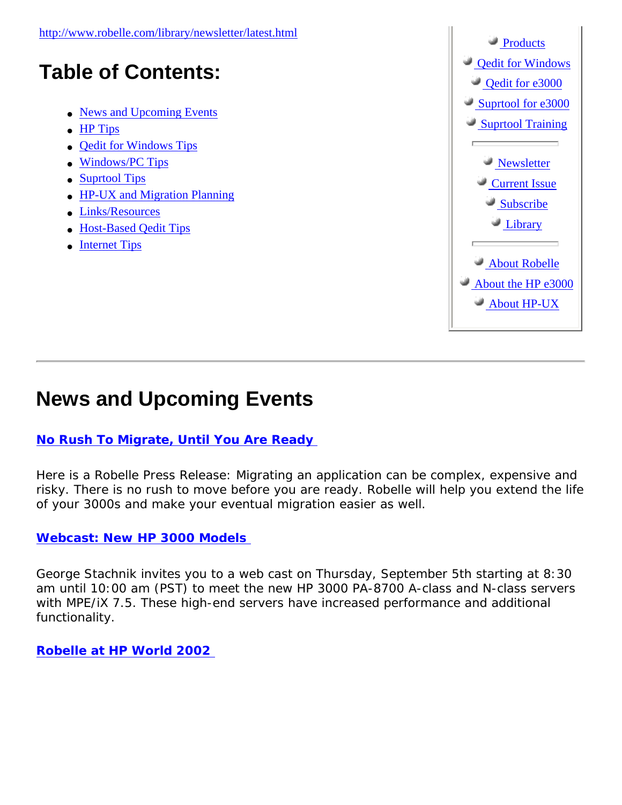

### <span id="page-1-0"></span>**News and Upcoming Events**

#### **[No Rush To Migrate, Until You Are Ready](http://www.robelle.com/library/press-release/no-rush.html)**

Here is a Robelle Press Release: *Migrating an application can be complex, expensive and*  risky. There is no rush to move before you are ready. Robelle will help you extend the life *of your 3000s and make your eventual migration easier as well.*

#### **[Webcast: New HP 3000 Models](http://www.hp.com/go/e3000reg)**

George Stachnik invites you to a web cast on Thursday, September 5th starting at 8:30 am until 10:00 am (PST) to meet the new HP 3000 PA-8700 A-class and N-class servers with MPE/iX 7.5. These high-end servers have increased performance and additional functionality.

**[Robelle at HP World 2002](http://www.robelle.com/hpworld/2002/)**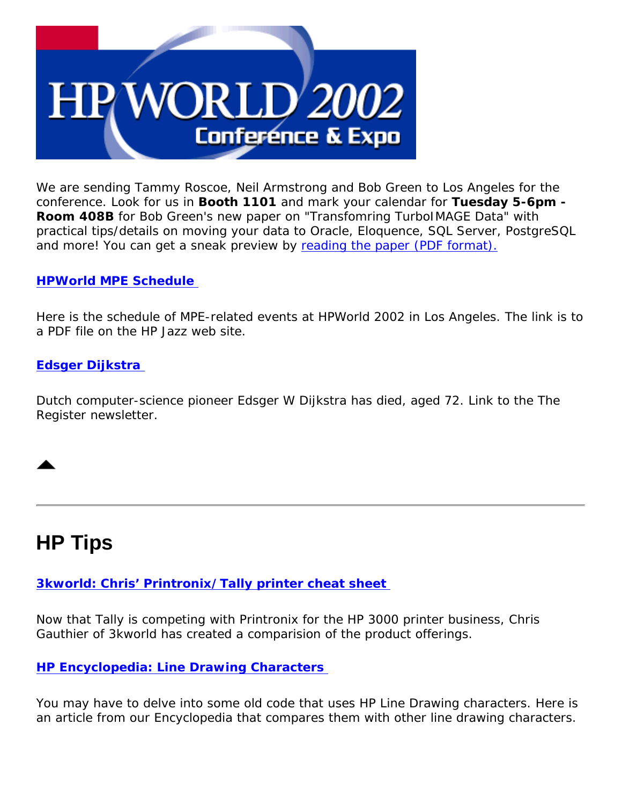

We are sending Tammy Roscoe, Neil Armstrong and Bob Green to Los Angeles for the conference. Look for us in **Booth 1101** and mark your calendar for **Tuesday 5-6pm - Room 408B** for Bob Green's new paper on "Transfomring TurboIMAGE Data" with practical tips/details on moving your data to Oracle, Eloquence, SQL Server, PostgreSQL and more! You can get a sneak preview by [reading the paper \(PDF format\).](http://www.robelle.com/library/papers/transform.pdf)

#### **[HPWorld MPE Schedule](http://jazz.external.hp.com/shows/HPW-LA.02/mpe-sched.pdf)**

Here is the schedule of MPE-related events at HPWorld 2002 in Los Angeles. The link is to a PDF file on the HP Jazz web site.

#### **[Edsger Dijkstra](http://www.theregister.co.uk/content/4/26585.html)**

Dutch computer-science pioneer Edsger W Dijkstra has died, aged 72. Link to the *The Register* newsletter.

### <span id="page-2-0"></span>**HP Tips**

**[3kworld: Chris' Printronix/Tally printer cheat sheet](http://3kworld.com/newsroom.asp?appmode=itemDetail&news_PK=4357)** 

Now that Tally is competing with Printronix for the HP 3000 printer business, Chris Gauthier of 3kworld has created a comparision of the product offerings.

#### **[HP Encyclopedia: Line Drawing Characters](http://www.robelle.com/library/smugbook/linedraw.html)**

You may have to delve into some old code that uses HP Line Drawing characters. Here is an article from our Encyclopedia that compares them with other line drawing characters.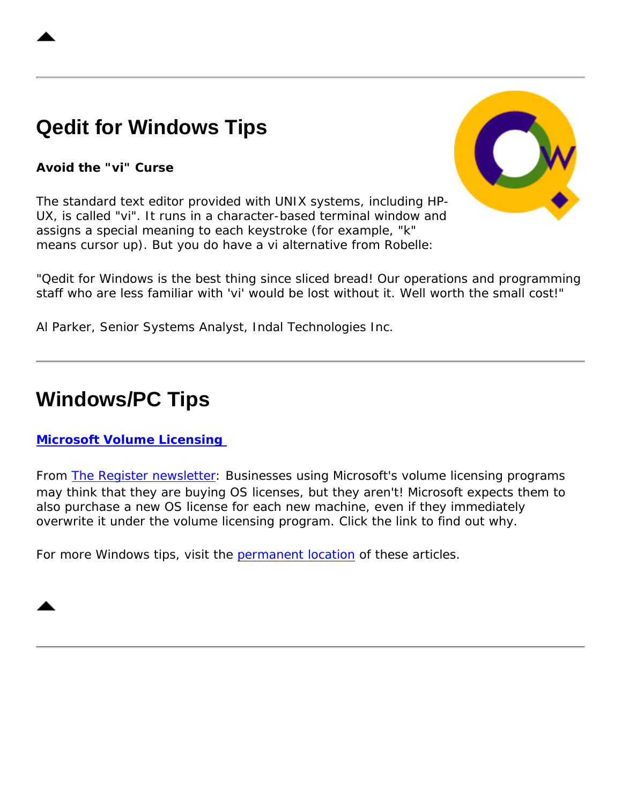# <span id="page-3-0"></span>**Qedit for Windows Tips**

#### **Avoid the "vi" Curse**





*"Qedit for Windows is the best thing since sliced bread! Our operations and programming staff who are less familiar with 'vi' would be lost without it. Well worth the small cost!"* 

Al Parker, Senior Systems Analyst, Indal Technologies Inc.

### <span id="page-3-1"></span>**Windows/PC Tips**

#### **[Microsoft Volume Licensing](http://www.theregister.co.uk/content/4/26821.html)**

From [The Register newsletter:](http://www.theregister.co.uk/) Businesses using Microsoft's volume licensing programs may think that they are buying OS licenses, but they aren't! Microsoft expects them to also purchase a new OS license for each new machine, even if they immediately overwrite it under the volume licensing program. Click the link to find out why.

For more Windows tips, visit the [permanent location](http://www.robelle.com/tips/windows.html) of these articles.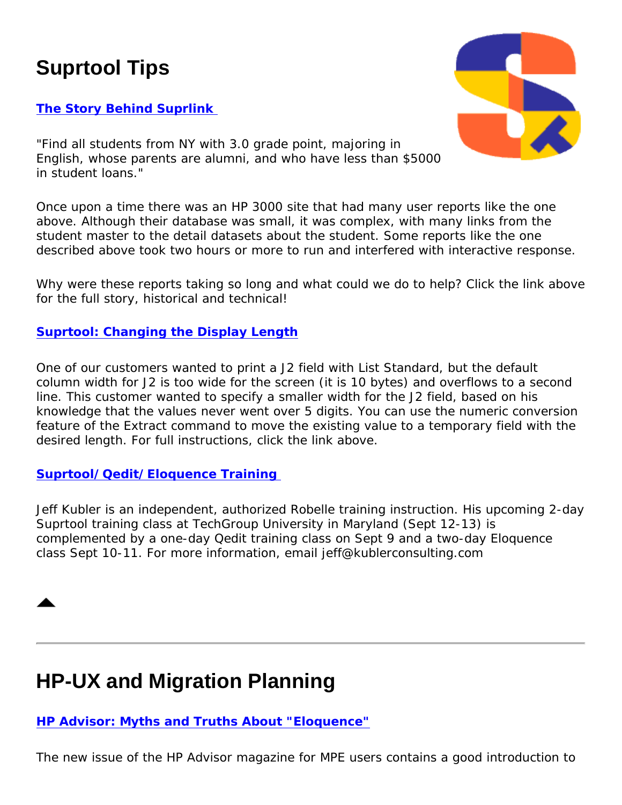# <span id="page-4-0"></span>**Suprtool Tips**

#### **[The Story Behind Suprlink](http://www.robelle.com/tips/suprlink.html)**



*"Find all students from NY with 3.0 grade point, majoring in English, whose parents are alumni, and who have less than \$5000 in student loans."* 

Once upon a time there was an HP 3000 site that had many user reports like the one above. Although their database was small, it was complex, with many links from the student master to the detail datasets about the student. Some reports like the one described above took two hours or more to run and interfered with interactive response.

Why were these reports taking so long and what could we do to help? Click the link above for the full story, historical and technical!

#### **[Suprtool: Changing the Display Length](http://www.robelle.com/tips/suprtool.html#length)**

One of our customers wanted to print a J2 field with List Standard, but the default column width for J2 is too wide for the screen (it is 10 bytes) and overflows to a second line. This customer wanted to specify a smaller width for the J2 field, based on his knowledge that the values never went over 5 digits. You can use the numeric conversion feature of the Extract command to move the existing value to a temporary field with the desired length. For full instructions, click the link above.

#### **[Suprtool/Qedit/Eloquence Training](http://www.kublerconsulting.com/)**

Jeff Kubler is an independent, authorized Robelle training instruction. His upcoming 2-day Suprtool training class at TechGroup University in Maryland (Sept 12-13) is complemented by a one-day Qedit training class on Sept 9 and a two-day Eloquence class Sept 10-11. For more information, email jeff@kublerconsulting.com



# <span id="page-4-1"></span>**HP-UX and Migration Planning**

**[HP Advisor: Myths and Truths About "Eloquence"](http://www.hp.com/products1/mpeixservers/advisor/feature_aug02.html)**

The new issue of the *HP Advisor* magazine for MPE users contains a good introduction to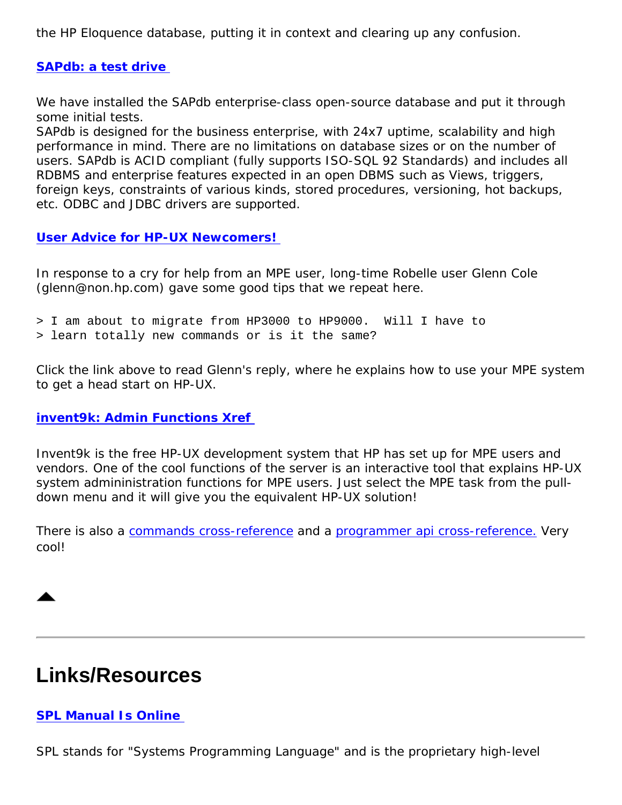the HP Eloquence database, putting it in context and clearing up any confusion.

#### **[SAPdb: a test drive](http://www.robelle.com/tips/sapdb.html)**

We have installed the SAPdb enterprise-class open-source database and put it through some initial tests.

*SAPdb is designed for the business enterprise, with 24x7 uptime, scalability and high performance in mind. There are no limitations on database sizes or on the number of users. SAPdb is ACID compliant (fully supports ISO-SQL 92 Standards) and includes all RDBMS and enterprise features expected in an open DBMS such as Views, triggers, foreign keys, constraints of various kinds, stored procedures, versioning, hot backups, etc. ODBC and JDBC drivers are supported.*

**[User Advice for HP-UX Newcomers!](http://www.robelle.com/abouthpux.html#glenn)** 

In response to a cry for help from an MPE user, long-time Robelle user Glenn Cole (glenn@non.hp.com) gave some good tips that we repeat here.

```
> I am about to migrate from HP3000 to HP9000. Will I have to
```
> learn totally new commands or is it the same?

Click the link above to read Glenn's reply, where he explains how to use your MPE system to get a head start on HP-UX.

**[invent9k: Admin Functions Xref](http://invent9k.external.hp.com/~csy/sysadmin.cgi)** 

Invent9k is the free HP-UX development system that HP has set up for MPE users and vendors. One of the cool functions of the server is an interactive tool that explains HP-UX system admininistration functions for MPE users. Just select the MPE task from the pulldown menu and it will give you the equivalent HP-UX solution!

There is also a [commands cross-reference](http://invent9k.external.hp.com/~csy/cmds.cgi) and a [programmer api cross-reference.](http://invent9k.external.hp.com/~csy/intr.cgi) Very cool!



# <span id="page-5-0"></span>**Links/Resources**

#### **[SPL Manual Is Online](http://jazz.external.hp.com/papers/manuals/30000-90024.doc)**

SPL stands for "Systems Programming Language" and is the proprietary high-level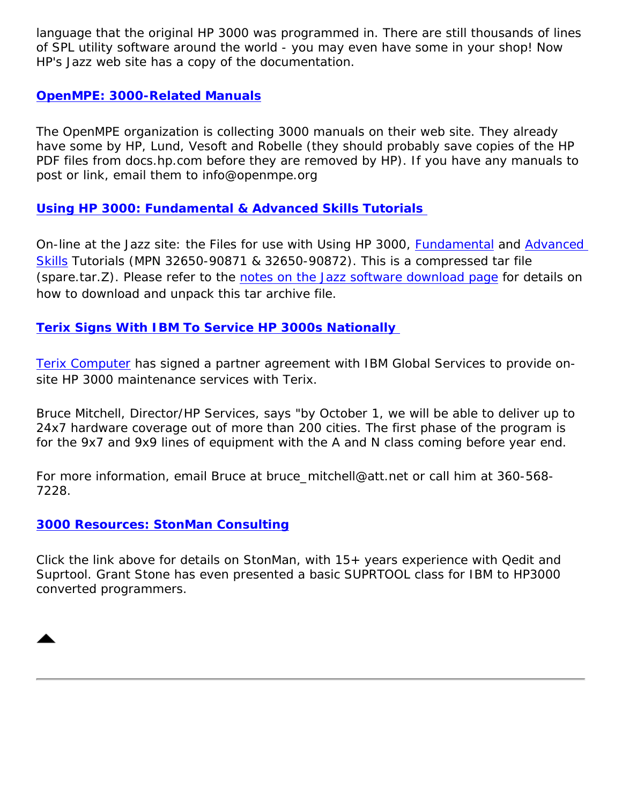language that the original HP 3000 was programmed in. There are still thousands of lines of SPL utility software around the world - you may even have some in your shop! Now HP's Jazz web site has a copy of the documentation.

#### **[OpenMPE: 3000-Related Manuals](http://www.openmpe.org/Documentation.htm)**

The OpenMPE organization is collecting 3000 manuals on their web site. They already have some by HP, Lund, Vesoft and Robelle (they should probably save copies of the HP PDF files from docs.hp.com before they are removed by HP). If you have any manuals to post or link, email them to info@openmpe.org

#### **[Using HP 3000: Fundamental & Advanced Skills Tutorials](http://jazz.external.hp.com/papers/spare.tar.Z)**

On-line at the Jazz site: the Files for use with *Using HP 3000, [Fundamental](http://docs.hp.com/mpeix/pdf/32650-90871.pdf) and [Advanced](http://docs.hp.com/mpeix/pdf/32650-90872.pdf)  [Skills](http://docs.hp.com/mpeix/pdf/32650-90872.pdf) Tutorials* (MPN 32650-90871 & 32650-90872). This is a compressed tar file (spare.tar.Z). Please refer to the [notes on the Jazz software download page](http://jazz.external.hp.com/src/index.html#DIRECTIONS) for details on how to download and unpack this tar archive file.

#### **[Terix Signs With IBM To Service HP 3000s Nationally](http://www.wsrn.com/apps/news/art.xpl?id=5051795&f=NEWS&s=HPQ)**

[Terix Computer](http://terixcomputer.com/) has signed a partner agreement with IBM Global Services to provide onsite HP 3000 maintenance services with Terix.

Bruce Mitchell, Director/HP Services, says *"by October 1, we will be able to deliver up to 24x7 hardware coverage out of more than 200 cities. The first phase of the program is for the 9x7 and 9x9 lines of equipment with the A and N class coming before year end.*

For more information, email Bruce at bruce mitchell@att.net or call him at 360-568-7228.

#### **[3000 Resources: StonMan Consulting](http://www.robelle.com/consultants.html#StonMan Consulting LLC)**

Click the link above for details on StonMan, with  $15+$  years experience with Qedit and Suprtool. Grant Stone has even presented a basic SUPRTOOL class for IBM to HP3000 converted programmers.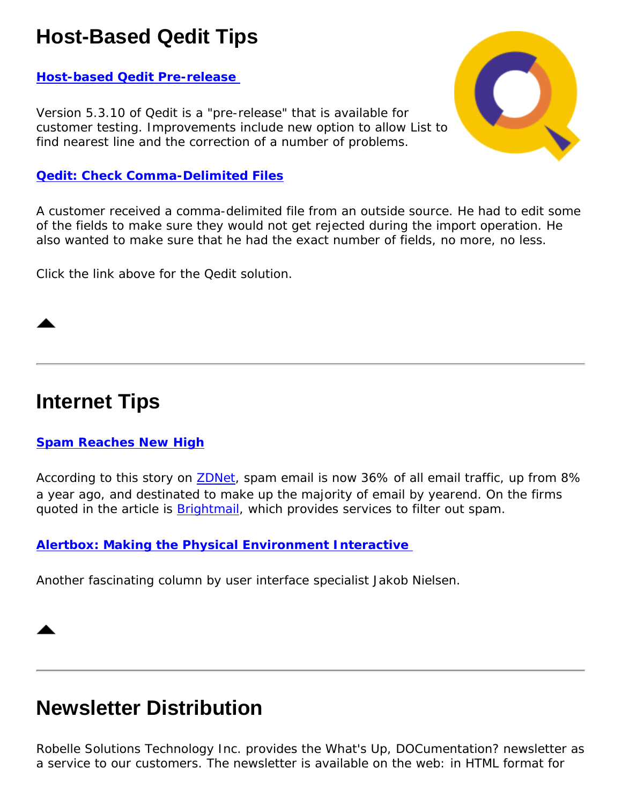# <span id="page-7-0"></span>**Host-Based Qedit Tips**

#### **[Host-based Qedit Pre-release](http://www.robelle.com/products/qedit/prerelease.html)**

Version 5.3.10 of Qedit is a "pre-release" that is available for customer testing. Improvements include new option to allow List to find nearest line and the correction of a number of problems.

#### **[Qedit: Check Comma-Delimited Files](http://www.robelle.com/support/qedit/checkcommas.html)**

A customer received a comma-delimited file from an outside source. He had to edit some of the fields to make sure they would not get rejected during the import operation. He also wanted to make sure that he had the exact number of fields, no more, no less.

Click the link above for the Qedit solution.

### <span id="page-7-1"></span>**Internet Tips**

#### **[Spam Reaches New High](http://zdnet.com.com/2100-1106-955842.html)**

According to this story on **ZDNet**, spam email is now 36% of all email traffic, up from 8% a year ago, and destinated to make up the majority of email by yearend. On the firms quoted in the article is [Brightmail,](http://www.brightmail.com/) which provides services to filter out spam.

#### **[Alertbox: Making the Physical Environment Interactive](http://www.useit.com/alertbox/20020805.html)**

Another fascinating column by user interface specialist Jakob Nielsen.

### **Newsletter Distribution**

Robelle Solutions Technology Inc. provides the *What's Up, DOCumentation?* newsletter as a service to our customers. The newsletter is available on the web: in HTML format for